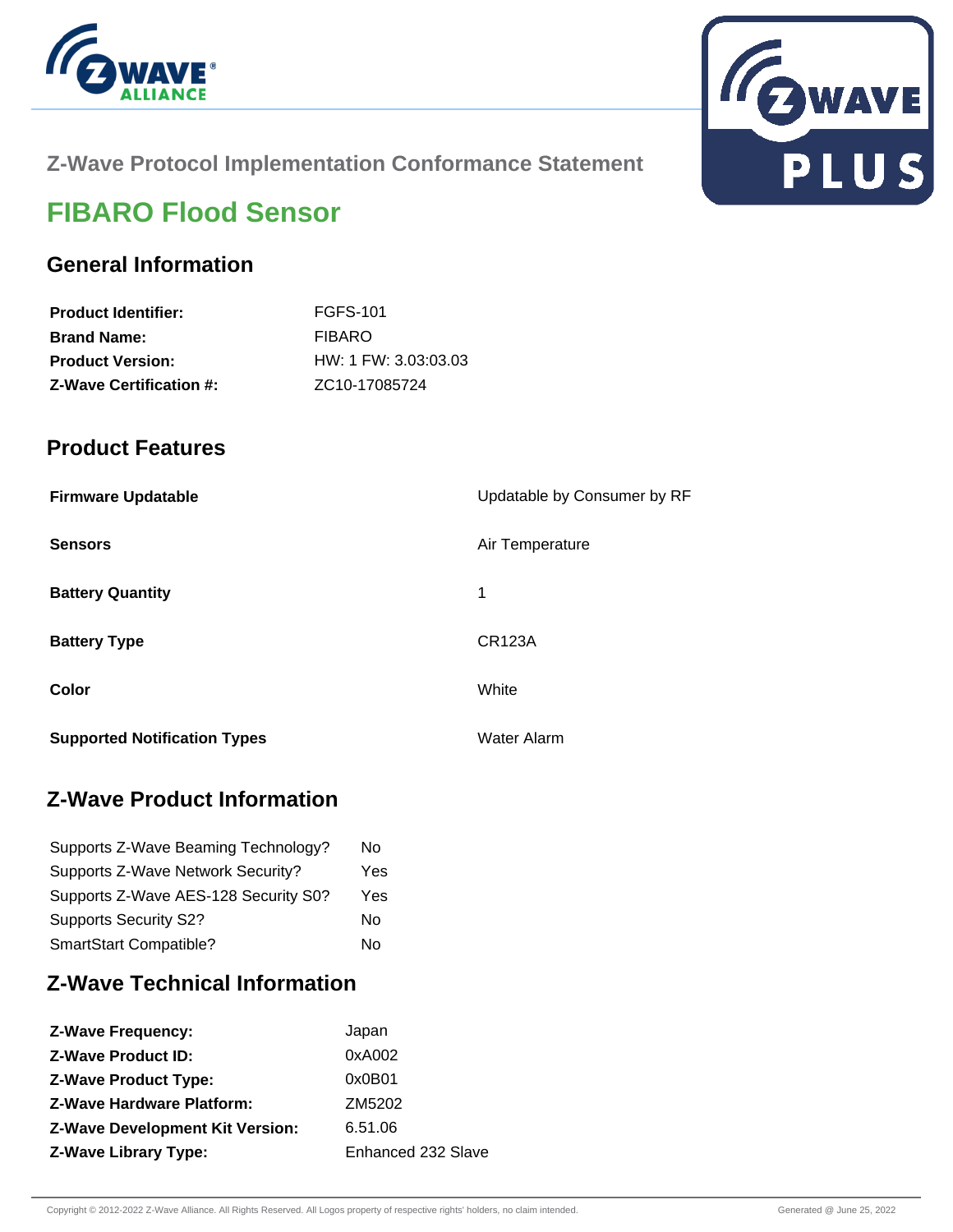



## **Z-Wave Protocol Implementation Conformance Statement**

# **FIBARO Flood Sensor**

# **General Information**

| <b>Product Identifier:</b>     | FGFS-101                   |
|--------------------------------|----------------------------|
| <b>Brand Name:</b>             | <b>FIBARO</b>              |
| <b>Product Version:</b>        | $HW: 1$ FW: 3.03:03.03     |
| <b>Z-Wave Certification #:</b> | ZC <sub>10</sub> -17085724 |

### **Product Features**

| <b>Firmware Updatable</b>           | Updatable by Consumer by RF |
|-------------------------------------|-----------------------------|
| <b>Sensors</b>                      | Air Temperature             |
| <b>Battery Quantity</b>             | 1                           |
| <b>Battery Type</b>                 | <b>CR123A</b>               |
| Color                               | White                       |
| <b>Supported Notification Types</b> | Water Alarm                 |

# **Z-Wave Product Information**

| Supports Z-Wave Beaming Technology?  | N٥  |
|--------------------------------------|-----|
| Supports Z-Wave Network Security?    | Yes |
| Supports Z-Wave AES-128 Security S0? | Yes |
| <b>Supports Security S2?</b>         | N٥  |
| SmartStart Compatible?               | N٥  |

# **Z-Wave Technical Information**

| Japan              |
|--------------------|
| 0xA002             |
| 0x0B01             |
| ZM5202             |
| 6.51.06            |
| Enhanced 232 Slave |
|                    |